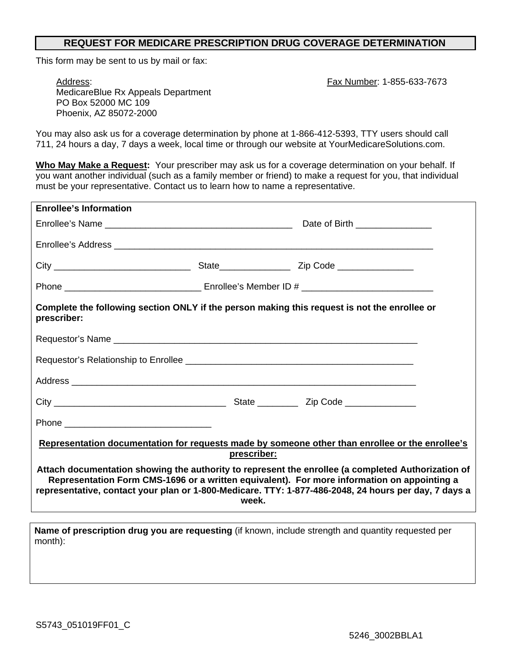## **REQUEST FOR MEDICARE PRESCRIPTION DRUG COVERAGE DETERMINATION**

This form may be sent to us by mail or fax:

Fax Number: 1-855-633-7673

Address: MedicareBlue Rx Appeals Department PO Box 52000 MC 109 Phoenix, AZ 85072-2000

You may also ask us for a coverage determination by phone at 1-866-412-5393, TTY users should call 711, 24 hours a day, 7 days a week, local time or through our website at YourMedicareSolutions.com.

**Who May Make a Request:** Your prescriber may ask us for a coverage determination on your behalf. If you want another individual (such as a family member or friend) to make a request for you, that individual must be your representative. Contact us to learn how to name a representative.

| <b>Enrollee's Information</b>                                                                                                                                                                                                                                                                                      |  |                                |  |  |
|--------------------------------------------------------------------------------------------------------------------------------------------------------------------------------------------------------------------------------------------------------------------------------------------------------------------|--|--------------------------------|--|--|
|                                                                                                                                                                                                                                                                                                                    |  | Date of Birth ________________ |  |  |
|                                                                                                                                                                                                                                                                                                                    |  |                                |  |  |
|                                                                                                                                                                                                                                                                                                                    |  |                                |  |  |
|                                                                                                                                                                                                                                                                                                                    |  |                                |  |  |
| Complete the following section ONLY if the person making this request is not the enrollee or<br>prescriber:                                                                                                                                                                                                        |  |                                |  |  |
|                                                                                                                                                                                                                                                                                                                    |  |                                |  |  |
|                                                                                                                                                                                                                                                                                                                    |  |                                |  |  |
|                                                                                                                                                                                                                                                                                                                    |  |                                |  |  |
|                                                                                                                                                                                                                                                                                                                    |  |                                |  |  |
|                                                                                                                                                                                                                                                                                                                    |  |                                |  |  |
| Representation documentation for requests made by someone other than enrollee or the enrollee's<br>prescriber:                                                                                                                                                                                                     |  |                                |  |  |
| Attach documentation showing the authority to represent the enrollee (a completed Authorization of<br>Representation Form CMS-1696 or a written equivalent). For more information on appointing a<br>representative, contact your plan or 1-800-Medicare. TTY: 1-877-486-2048, 24 hours per day, 7 days a<br>week. |  |                                |  |  |
| Name of prescription drug you are requesting (if known, include strength and quantity requested per                                                                                                                                                                                                                |  |                                |  |  |

month):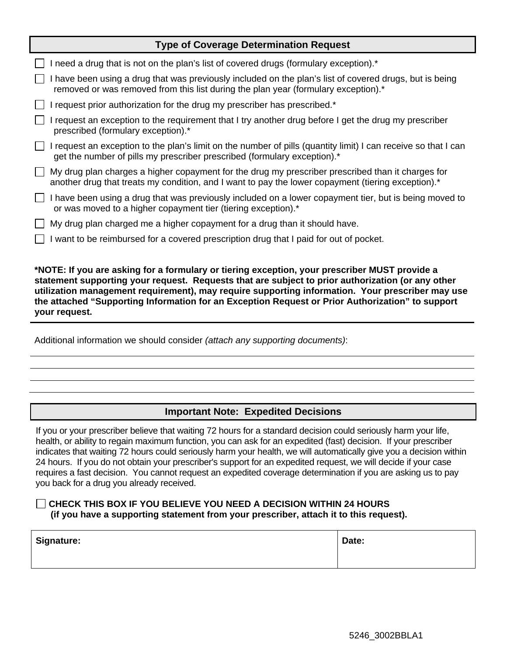| <b>Type of Coverage Determination Request</b>                                                                                                                                                                           |  |  |  |  |  |
|-------------------------------------------------------------------------------------------------------------------------------------------------------------------------------------------------------------------------|--|--|--|--|--|
| I need a drug that is not on the plan's list of covered drugs (formulary exception).*                                                                                                                                   |  |  |  |  |  |
| I have been using a drug that was previously included on the plan's list of covered drugs, but is being<br>removed or was removed from this list during the plan year (formulary exception).*                           |  |  |  |  |  |
| I request prior authorization for the drug my prescriber has prescribed.*                                                                                                                                               |  |  |  |  |  |
| I request an exception to the requirement that I try another drug before I get the drug my prescriber<br>$\perp$<br>prescribed (formulary exception).*                                                                  |  |  |  |  |  |
| I request an exception to the plan's limit on the number of pills (quantity limit) I can receive so that I can<br>get the number of pills my prescriber prescribed (formulary exception).*                              |  |  |  |  |  |
| My drug plan charges a higher copayment for the drug my prescriber prescribed than it charges for<br>$\mathbf{L}$<br>another drug that treats my condition, and I want to pay the lower copayment (tiering exception).* |  |  |  |  |  |
| I have been using a drug that was previously included on a lower copayment tier, but is being moved to<br>or was moved to a higher copayment tier (tiering exception).*                                                 |  |  |  |  |  |
| My drug plan charged me a higher copayment for a drug than it should have.                                                                                                                                              |  |  |  |  |  |
| I want to be reimbursed for a covered prescription drug that I paid for out of pocket.                                                                                                                                  |  |  |  |  |  |
|                                                                                                                                                                                                                         |  |  |  |  |  |

**\*NOTE: If you are asking for a formulary or tiering exception, your prescriber MUST provide a statement supporting your request. Requests that are subject to prior authorization (or any other utilization management requirement), may require supporting information. Your prescriber may use the attached "Supporting Information for an Exception Request or Prior Authorization" to support your request.**

Additional information we should consider *(attach any supporting documents)*:

# **Important Note: Expedited Decisions**

If you or your prescriber believe that waiting 72 hours for a standard decision could seriously harm your life, health, or ability to regain maximum function, you can ask for an expedited (fast) decision. If your prescriber indicates that waiting 72 hours could seriously harm your health, we will automatically give you a decision within 24 hours. If you do not obtain your prescriber's support for an expedited request, we will decide if your case requires a fast decision. You cannot request an expedited coverage determination if you are asking us to pay you back for a drug you already received.

### **CHECK THIS BOX IF YOU BELIEVE YOU NEED A DECISION WITHIN 24 HOURS (if you have a supporting statement from your prescriber, attach it to this request).**

| <b>Signature:</b> | Date: |
|-------------------|-------|
|                   |       |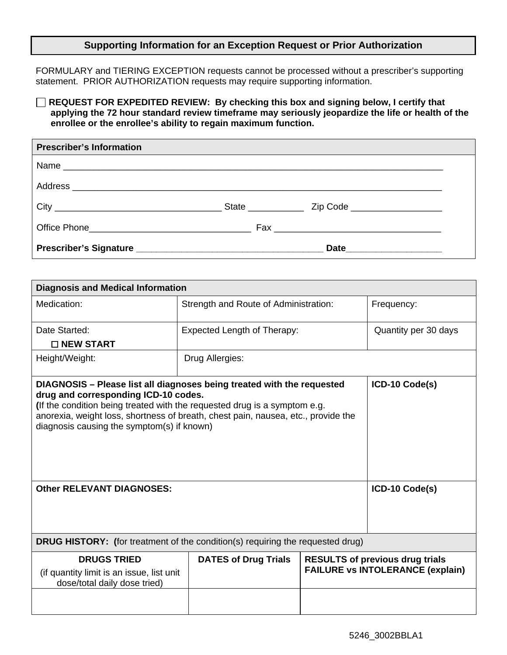#### **Supporting Information for an Exception Request or Prior Authorization**

FORMULARY and TIERING EXCEPTION requests cannot be processed without a prescriber's supporting statement. PRIOR AUTHORIZATION requests may require supporting information.

**REQUEST FOR EXPEDITED REVIEW: By checking this box and signing below, I certify that applying the 72 hour standard review timeframe may seriously jeopardize the life or health of the enrollee or the enrollee's ability to regain maximum function.**

| <b>Prescriber's Information</b> |  |
|---------------------------------|--|
|                                 |  |
|                                 |  |
|                                 |  |
|                                 |  |
|                                 |  |

| <b>Diagnosis and Medical Information</b>                                                                                                                                                                                                                                                                                                         |                                                            |  |                                                                                   |  |
|--------------------------------------------------------------------------------------------------------------------------------------------------------------------------------------------------------------------------------------------------------------------------------------------------------------------------------------------------|------------------------------------------------------------|--|-----------------------------------------------------------------------------------|--|
| Medication:                                                                                                                                                                                                                                                                                                                                      | Frequency:<br>Strength and Route of Administration:        |  |                                                                                   |  |
| Date Started:<br>$\square$ NEW START                                                                                                                                                                                                                                                                                                             | <b>Expected Length of Therapy:</b><br>Quantity per 30 days |  |                                                                                   |  |
| Height/Weight:                                                                                                                                                                                                                                                                                                                                   | Drug Allergies:                                            |  |                                                                                   |  |
| ICD-10 Code(s)<br>DIAGNOSIS - Please list all diagnoses being treated with the requested<br>drug and corresponding ICD-10 codes.<br>(If the condition being treated with the requested drug is a symptom e.g.<br>anorexia, weight loss, shortness of breath, chest pain, nausea, etc., provide the<br>diagnosis causing the symptom(s) if known) |                                                            |  |                                                                                   |  |
| <b>Other RELEVANT DIAGNOSES:</b>                                                                                                                                                                                                                                                                                                                 |                                                            |  | ICD-10 Code(s)                                                                    |  |
| <b>DRUG HISTORY:</b> (for treatment of the condition(s) requiring the requested drug)                                                                                                                                                                                                                                                            |                                                            |  |                                                                                   |  |
| <b>DRUGS TRIED</b><br>(if quantity limit is an issue, list unit<br>dose/total daily dose tried)                                                                                                                                                                                                                                                  | <b>DATES of Drug Trials</b>                                |  | <b>RESULTS of previous drug trials</b><br><b>FAILURE vs INTOLERANCE (explain)</b> |  |
|                                                                                                                                                                                                                                                                                                                                                  |                                                            |  |                                                                                   |  |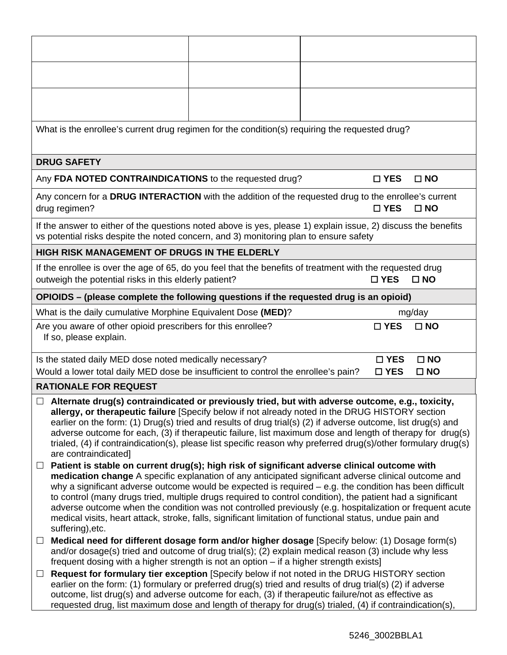|                                                                                                                                                                                                                                                                                                                                                                                                                                                                                                                                                                                                                                                                                       | What is the enrollee's current drug regimen for the condition(s) requiring the requested drug?                                                                                                                                                                                                   |  |  |               |              |  |  |
|---------------------------------------------------------------------------------------------------------------------------------------------------------------------------------------------------------------------------------------------------------------------------------------------------------------------------------------------------------------------------------------------------------------------------------------------------------------------------------------------------------------------------------------------------------------------------------------------------------------------------------------------------------------------------------------|--------------------------------------------------------------------------------------------------------------------------------------------------------------------------------------------------------------------------------------------------------------------------------------------------|--|--|---------------|--------------|--|--|
|                                                                                                                                                                                                                                                                                                                                                                                                                                                                                                                                                                                                                                                                                       | <b>DRUG SAFETY</b>                                                                                                                                                                                                                                                                               |  |  |               |              |  |  |
|                                                                                                                                                                                                                                                                                                                                                                                                                                                                                                                                                                                                                                                                                       | Any FDA NOTED CONTRAINDICATIONS to the requested drug?                                                                                                                                                                                                                                           |  |  | $\square$ YES | $\square$ NO |  |  |
|                                                                                                                                                                                                                                                                                                                                                                                                                                                                                                                                                                                                                                                                                       | Any concern for a DRUG INTERACTION with the addition of the requested drug to the enrollee's current<br>drug regimen?                                                                                                                                                                            |  |  | $\square$ YES | $\Box$ NO    |  |  |
|                                                                                                                                                                                                                                                                                                                                                                                                                                                                                                                                                                                                                                                                                       | If the answer to either of the questions noted above is yes, please 1) explain issue, 2) discuss the benefits<br>vs potential risks despite the noted concern, and 3) monitoring plan to ensure safety                                                                                           |  |  |               |              |  |  |
|                                                                                                                                                                                                                                                                                                                                                                                                                                                                                                                                                                                                                                                                                       | <b>HIGH RISK MANAGEMENT OF DRUGS IN THE ELDERLY</b>                                                                                                                                                                                                                                              |  |  |               |              |  |  |
|                                                                                                                                                                                                                                                                                                                                                                                                                                                                                                                                                                                                                                                                                       | If the enrollee is over the age of 65, do you feel that the benefits of treatment with the requested drug<br>outweigh the potential risks in this elderly patient?                                                                                                                               |  |  | $\square$ YES | $\square$ NO |  |  |
|                                                                                                                                                                                                                                                                                                                                                                                                                                                                                                                                                                                                                                                                                       | OPIOIDS – (please complete the following questions if the requested drug is an opioid)                                                                                                                                                                                                           |  |  |               |              |  |  |
|                                                                                                                                                                                                                                                                                                                                                                                                                                                                                                                                                                                                                                                                                       | What is the daily cumulative Morphine Equivalent Dose (MED)?                                                                                                                                                                                                                                     |  |  |               | mg/day       |  |  |
| Are you aware of other opioid prescribers for this enrollee?<br>$\square$ YES<br>$\square$ NO<br>If so, please explain.                                                                                                                                                                                                                                                                                                                                                                                                                                                                                                                                                               |                                                                                                                                                                                                                                                                                                  |  |  |               |              |  |  |
|                                                                                                                                                                                                                                                                                                                                                                                                                                                                                                                                                                                                                                                                                       | $\square$ NO<br>Is the stated daily MED dose noted medically necessary?<br>$\square$ YES<br>Would a lower total daily MED dose be insufficient to control the enrollee's pain?<br>$\square$ YES<br>$\square$ NO                                                                                  |  |  |               |              |  |  |
|                                                                                                                                                                                                                                                                                                                                                                                                                                                                                                                                                                                                                                                                                       | <b>RATIONALE FOR REQUEST</b>                                                                                                                                                                                                                                                                     |  |  |               |              |  |  |
| Alternate drug(s) contraindicated or previously tried, but with adverse outcome, e.g., toxicity,<br>$\Box$<br>allergy, or therapeutic failure [Specify below if not already noted in the DRUG HISTORY section<br>earlier on the form: (1) Drug(s) tried and results of drug trial(s) (2) if adverse outcome, list drug(s) and<br>adverse outcome for each, (3) if therapeutic failure, list maximum dose and length of therapy for drug(s)<br>trialed, (4) if contraindication(s), please list specific reason why preferred drug(s)/other formulary drug(s)<br>are contraindicated]                                                                                                  |                                                                                                                                                                                                                                                                                                  |  |  |               |              |  |  |
| Patient is stable on current drug(s); high risk of significant adverse clinical outcome with<br>$\Box$<br>medication change A specific explanation of any anticipated significant adverse clinical outcome and<br>why a significant adverse outcome would be expected is required $-$ e.g. the condition has been difficult<br>to control (many drugs tried, multiple drugs required to control condition), the patient had a significant<br>adverse outcome when the condition was not controlled previously (e.g. hospitalization or frequent acute<br>medical visits, heart attack, stroke, falls, significant limitation of functional status, undue pain and<br>suffering), etc. |                                                                                                                                                                                                                                                                                                  |  |  |               |              |  |  |
| $\Box$                                                                                                                                                                                                                                                                                                                                                                                                                                                                                                                                                                                                                                                                                | Medical need for different dosage form and/or higher dosage [Specify below: (1) Dosage form(s)<br>and/or dosage(s) tried and outcome of drug trial(s); (2) explain medical reason (3) include why less<br>frequent dosing with a higher strength is not an option – if a higher strength exists] |  |  |               |              |  |  |
| Request for formulary tier exception [Specify below if not noted in the DRUG HISTORY section<br>$\Box$<br>earlier on the form: (1) formulary or preferred drug(s) tried and results of drug trial(s) (2) if adverse<br>outcome, list drug(s) and adverse outcome for each, (3) if therapeutic failure/not as effective as<br>requested drug, list maximum dose and length of therapy for drug(s) trialed, (4) if contraindication(s),                                                                                                                                                                                                                                                 |                                                                                                                                                                                                                                                                                                  |  |  |               |              |  |  |